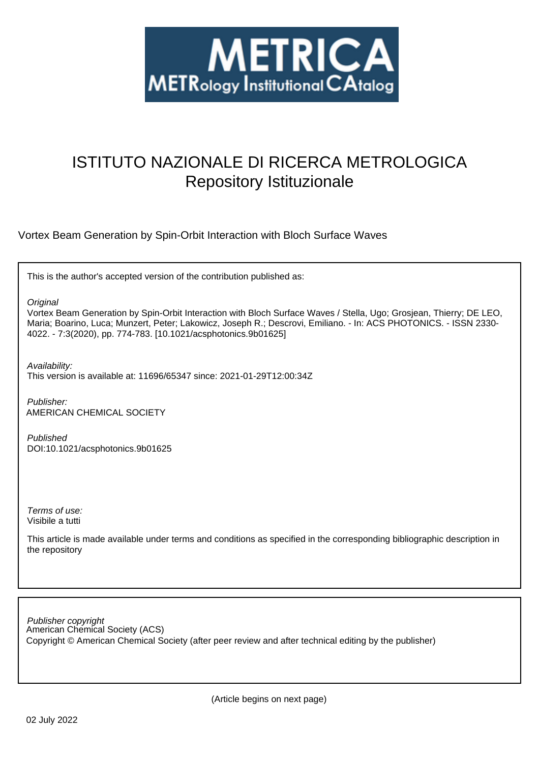

# ISTITUTO NAZIONALE DI RICERCA METROLOGICA Repository Istituzionale

Vortex Beam Generation by Spin-Orbit Interaction with Bloch Surface Waves

This is the author's accepted version of the contribution published as:

**Original** 

Vortex Beam Generation by Spin-Orbit Interaction with Bloch Surface Waves / Stella, Ugo; Grosjean, Thierry; DE LEO, Maria; Boarino, Luca; Munzert, Peter; Lakowicz, Joseph R.; Descrovi, Emiliano. - In: ACS PHOTONICS. - ISSN 2330- 4022. - 7:3(2020), pp. 774-783. [10.1021/acsphotonics.9b01625]

Availability:

This version is available at: 11696/65347 since: 2021-01-29T12:00:34Z

Publisher: AMERICAN CHEMICAL SOCIETY

Published DOI:10.1021/acsphotonics.9b01625

Terms of use: Visibile a tutti

This article is made available under terms and conditions as specified in the corresponding bibliographic description in the repository

American Chemical Society (ACS) Publisher copyright Copyright © American Chemical Society (after peer review and after technical editing by the publisher)

(Article begins on next page)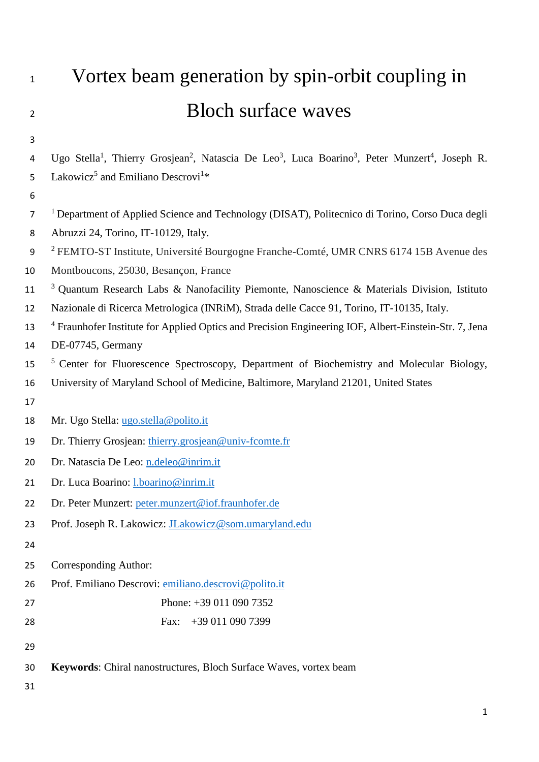| $\mathbf{1}$   | Vortex beam generation by spin-orbit coupling in                                                                                                            |  |  |  |  |
|----------------|-------------------------------------------------------------------------------------------------------------------------------------------------------------|--|--|--|--|
| $\overline{2}$ | <b>Bloch surface waves</b>                                                                                                                                  |  |  |  |  |
| 3              |                                                                                                                                                             |  |  |  |  |
| 4              | Ugo Stella <sup>1</sup> , Thierry Grosjean <sup>2</sup> , Natascia De Leo <sup>3</sup> , Luca Boarino <sup>3</sup> , Peter Munzert <sup>4</sup> , Joseph R. |  |  |  |  |
| 5              | Lakowicz <sup>5</sup> and Emiliano Descrovi <sup>1*</sup>                                                                                                   |  |  |  |  |
| 6              |                                                                                                                                                             |  |  |  |  |
| 7              | <sup>1</sup> Department of Applied Science and Technology (DISAT), Politecnico di Torino, Corso Duca degli                                                  |  |  |  |  |
| 8              | Abruzzi 24, Torino, IT-10129, Italy.                                                                                                                        |  |  |  |  |
| 9<br>10        | <sup>2</sup> FEMTO-ST Institute, Université Bourgogne Franche-Comté, UMR CNRS 6174 15B Avenue des<br>Montboucons, 25030, Besançon, France                   |  |  |  |  |
| 11             | <sup>3</sup> Quantum Research Labs & Nanofacility Piemonte, Nanoscience & Materials Division, Istituto                                                      |  |  |  |  |
| 12             | Nazionale di Ricerca Metrologica (INRiM), Strada delle Cacce 91, Torino, IT-10135, Italy.                                                                   |  |  |  |  |
| 13             | <sup>4</sup> Fraunhofer Institute for Applied Optics and Precision Engineering IOF, Albert-Einstein-Str. 7, Jena                                            |  |  |  |  |
| 14             | DE-07745, Germany                                                                                                                                           |  |  |  |  |
| 15             | <sup>5</sup> Center for Fluorescence Spectroscopy, Department of Biochemistry and Molecular Biology,                                                        |  |  |  |  |
| 16             | University of Maryland School of Medicine, Baltimore, Maryland 21201, United States                                                                         |  |  |  |  |
| 17             |                                                                                                                                                             |  |  |  |  |
| 18             | Mr. Ugo Stella: ugo.stella@polito.it                                                                                                                        |  |  |  |  |
| 19             | Dr. Thierry Grosjean: thierry.grosjean@univ-fcomte.fr                                                                                                       |  |  |  |  |
| 20             | Dr. Natascia De Leo: n.deleo@inrim.it                                                                                                                       |  |  |  |  |
| 21             | Dr. Luca Boarino: <i>l.boarino@inrim.it</i>                                                                                                                 |  |  |  |  |
| 22             | Dr. Peter Munzert: peter.munzert@iof.fraunhofer.de                                                                                                          |  |  |  |  |
| 23             | Prof. Joseph R. Lakowicz: <i>JLakowicz@som.umaryland.edu</i>                                                                                                |  |  |  |  |
| 24             |                                                                                                                                                             |  |  |  |  |
| 25             | Corresponding Author:                                                                                                                                       |  |  |  |  |
| 26             | Prof. Emiliano Descrovi: emiliano.descrovi@polito.it                                                                                                        |  |  |  |  |
| 27             | Phone: +39 011 090 7352                                                                                                                                     |  |  |  |  |
| 28             | +39 011 090 7399<br>Fax:                                                                                                                                    |  |  |  |  |
| 29             |                                                                                                                                                             |  |  |  |  |
| 30             | Keywords: Chiral nanostructures, Bloch Surface Waves, vortex beam                                                                                           |  |  |  |  |
| 31             |                                                                                                                                                             |  |  |  |  |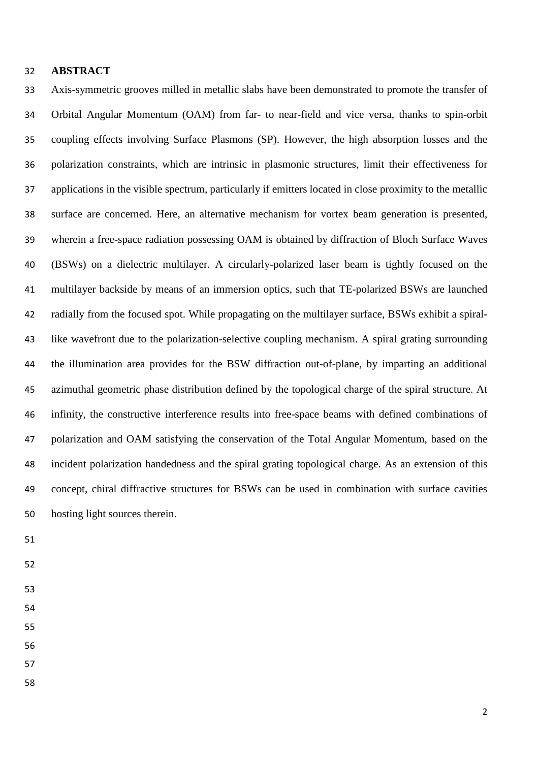#### **ABSTRACT**

 Axis-symmetric grooves milled in metallic slabs have been demonstrated to promote the transfer of Orbital Angular Momentum (OAM) from far- to near-field and vice versa, thanks to spin-orbit coupling effects involving Surface Plasmons (SP). However, the high absorption losses and the polarization constraints, which are intrinsic in plasmonic structures, limit their effectiveness for applications in the visible spectrum, particularly if emitters located in close proximity to the metallic surface are concerned. Here, an alternative mechanism for vortex beam generation is presented, wherein a free-space radiation possessing OAM is obtained by diffraction of Bloch Surface Waves (BSWs) on a dielectric multilayer. A circularly-polarized laser beam is tightly focused on the multilayer backside by means of an immersion optics, such that TE-polarized BSWs are launched radially from the focused spot. While propagating on the multilayer surface, BSWs exhibit a spiral- like wavefront due to the polarization-selective coupling mechanism. A spiral grating surrounding the illumination area provides for the BSW diffraction out-of-plane, by imparting an additional azimuthal geometric phase distribution defined by the topological charge of the spiral structure. At infinity, the constructive interference results into free-space beams with defined combinations of polarization and OAM satisfying the conservation of the Total Angular Momentum, based on the incident polarization handedness and the spiral grating topological charge. As an extension of this concept, chiral diffractive structures for BSWs can be used in combination with surface cavities hosting light sources therein.

- 
- 
- 
- 
- 
- 
- 
-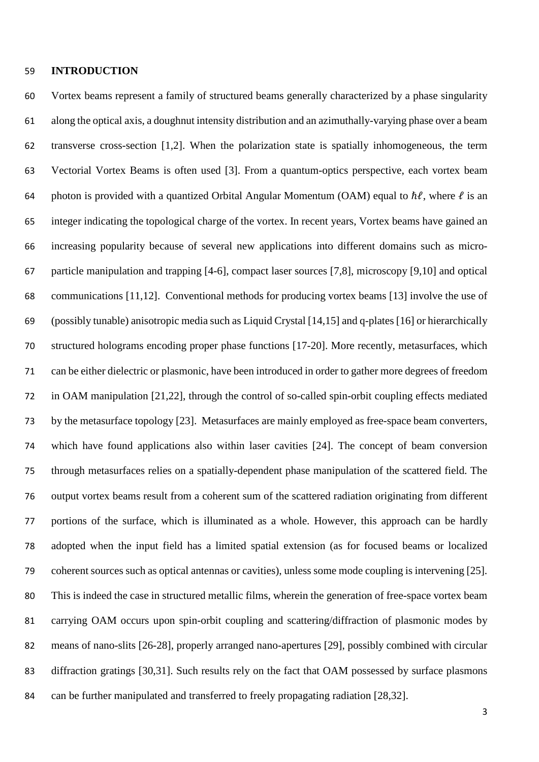#### **INTRODUCTION**

 Vortex beams represent a family of structured beams generally characterized by a phase singularity along the optical axis, a doughnut intensity distribution and an azimuthally-varying phase over a beam transverse cross-section [1,2]. When the polarization state is spatially inhomogeneous, the term Vectorial Vortex Beams is often used [3]. From a quantum-optics perspective, each vortex beam 64 photon is provided with a quantized Orbital Angular Momentum (OAM) equal to  $\hbar \ell$ , where  $\ell$  is an integer indicating the topological charge of the vortex. In recent years, Vortex beams have gained an increasing popularity because of several new applications into different domains such as micro- particle manipulation and trapping [4-6], compact laser sources [7,8], microscopy [9,10] and optical communications [11,12]. Conventional methods for producing vortex beams [13] involve the use of (possibly tunable) anisotropic media such as Liquid Crystal [14,15] and q-plates [16] or hierarchically structured holograms encoding proper phase functions [17-20]. More recently, metasurfaces, which can be either dielectric or plasmonic, have been introduced in order to gather more degrees of freedom in OAM manipulation [21,22], through the control of so-called spin-orbit coupling effects mediated by the metasurface topology [23]. Metasurfaces are mainly employed as free-space beam converters, which have found applications also within laser cavities [24]. The concept of beam conversion through metasurfaces relies on a spatially-dependent phase manipulation of the scattered field. The output vortex beams result from a coherent sum of the scattered radiation originating from different portions of the surface, which is illuminated as a whole. However, this approach can be hardly adopted when the input field has a limited spatial extension (as for focused beams or localized coherent sources such as optical antennas or cavities), unless some mode coupling is intervening [25]. This is indeed the case in structured metallic films, wherein the generation of free-space vortex beam carrying OAM occurs upon spin-orbit coupling and scattering/diffraction of plasmonic modes by means of nano-slits [26-28], properly arranged nano-apertures [29], possibly combined with circular diffraction gratings [30,31]. Such results rely on the fact that OAM possessed by surface plasmons can be further manipulated and transferred to freely propagating radiation [28,32].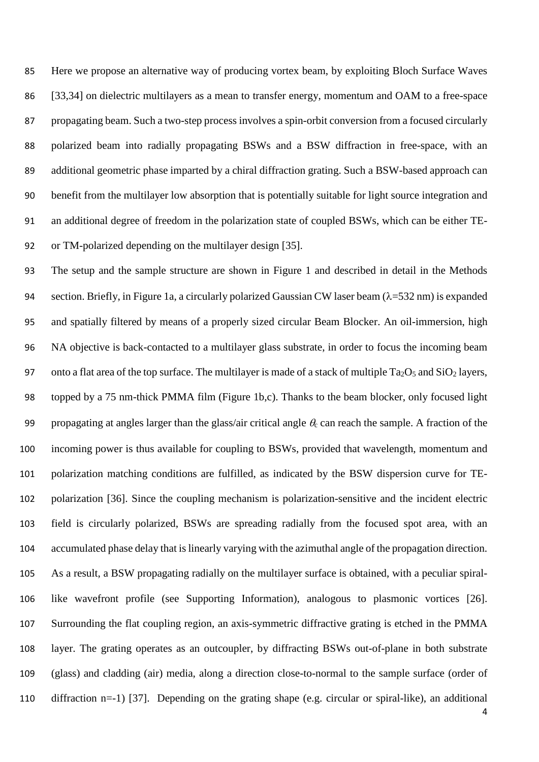Here we propose an alternative way of producing vortex beam, by exploiting Bloch Surface Waves [33,34] on dielectric multilayers as a mean to transfer energy, momentum and OAM to a free-space propagating beam. Such a two-step process involves a spin-orbit conversion from a focused circularly polarized beam into radially propagating BSWs and a BSW diffraction in free-space, with an additional geometric phase imparted by a chiral diffraction grating. Such a BSW-based approach can benefit from the multilayer low absorption that is potentially suitable for light source integration and an additional degree of freedom in the polarization state of coupled BSWs, which can be either TE-or TM-polarized depending on the multilayer design [35].

 The setup and the sample structure are shown in Figure 1 and described in detail in the Methods section. Briefly, in Figure 1a, a circularly polarized Gaussian CW laser beam (λ=532 nm) is expanded and spatially filtered by means of a properly sized circular Beam Blocker. An oil-immersion, high NA objective is back-contacted to a multilayer glass substrate, in order to focus the incoming beam 97 onto a flat area of the top surface. The multilayer is made of a stack of multiple  $Ta_2O_5$  and  $SiO_2$  layers, topped by a 75 nm-thick PMMA film (Figure 1b,c). Thanks to the beam blocker, only focused light 99 propagating at angles larger than the glass/air critical angle  $\theta_c$  can reach the sample. A fraction of the incoming power is thus available for coupling to BSWs, provided that wavelength, momentum and polarization matching conditions are fulfilled, as indicated by the BSW dispersion curve for TE- polarization [36]. Since the coupling mechanism is polarization-sensitive and the incident electric field is circularly polarized, BSWs are spreading radially from the focused spot area, with an accumulated phase delay that is linearly varying with the azimuthal angle of the propagation direction. As a result, a BSW propagating radially on the multilayer surface is obtained, with a peculiar spiral- like wavefront profile (see Supporting Information), analogous to plasmonic vortices [26]. Surrounding the flat coupling region, an axis-symmetric diffractive grating is etched in the PMMA layer. The grating operates as an outcoupler, by diffracting BSWs out-of-plane in both substrate (glass) and cladding (air) media, along a direction close-to-normal to the sample surface (order of diffraction n=-1) [37]. Depending on the grating shape (e.g. circular or spiral-like), an additional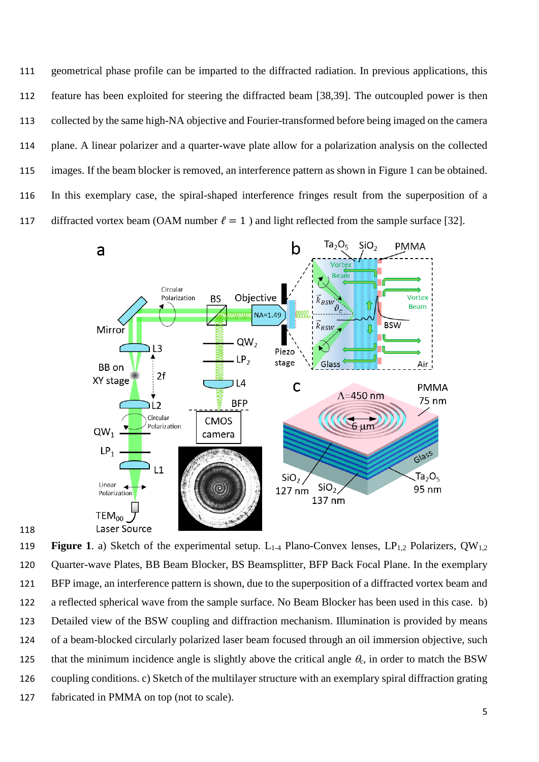geometrical phase profile can be imparted to the diffracted radiation. In previous applications, this feature has been exploited for steering the diffracted beam [38,39]. The outcoupled power is then collected by the same high-NA objective and Fourier-transformed before being imaged on the camera plane. A linear polarizer and a quarter-wave plate allow for a polarization analysis on the collected images. If the beam blocker is removed, an interference pattern as shown in Figure 1 can be obtained. In this exemplary case, the spiral-shaped interference fringes result from the superposition of a 117 diffracted vortex beam (OAM number  $\ell = 1$ ) and light reflected from the sample surface [32].



119 **Figure 1**. a) Sketch of the experimental setup. L<sub>1-4</sub> Plano-Convex lenses, LP<sub>1,2</sub> Polarizers, QW<sub>1,2</sub> Quarter-wave Plates, BB Beam Blocker, BS Beamsplitter, BFP Back Focal Plane. In the exemplary BFP image, an interference pattern is shown, due to the superposition of a diffracted vortex beam and a reflected spherical wave from the sample surface. No Beam Blocker has been used in this case. b) Detailed view of the BSW coupling and diffraction mechanism. Illumination is provided by means of a beam-blocked circularly polarized laser beam focused through an oil immersion objective, such 125 that the minimum incidence angle is slightly above the critical angle  $\theta_c$ , in order to match the BSW coupling conditions. c) Sketch of the multilayer structure with an exemplary spiral diffraction grating fabricated in PMMA on top (not to scale).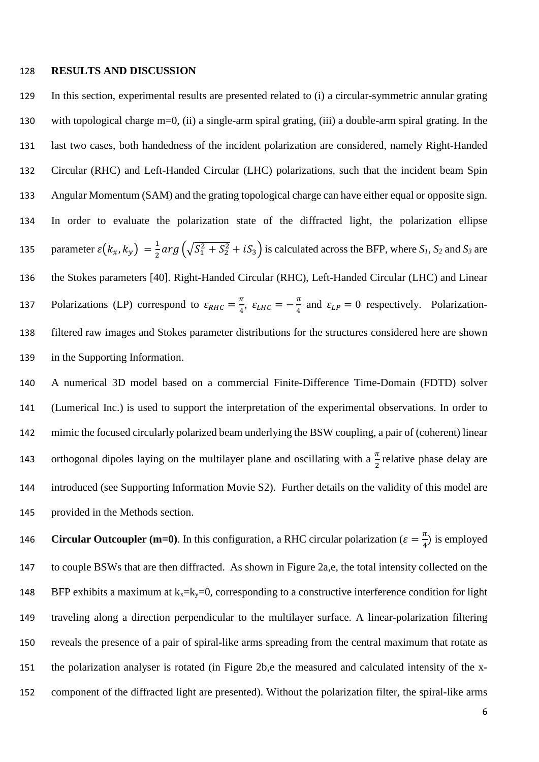#### **RESULTS AND DISCUSSION**

 In this section, experimental results are presented related to (i) a circular-symmetric annular grating with topological charge m=0, (ii) a single-arm spiral grating, (iii) a double-arm spiral grating. In the last two cases, both handedness of the incident polarization are considered, namely Right-Handed Circular (RHC) and Left-Handed Circular (LHC) polarizations, such that the incident beam Spin Angular Momentum (SAM) and the grating topological charge can have either equal or opposite sign. In order to evaluate the polarization state of the diffracted light, the polarization ellipse 135 parameter  $\varepsilon$ ( $k_x$ ,  $k_y$ ) =  $\frac{1}{2}$  arg ( $\sqrt{S_1^2 + S_2^2} + iS_3$ ) is calculated across the BFP, where *S<sub>1</sub>*, *S<sub>2</sub>* and *S<sub>3</sub>* are the Stokes parameters [40]. Right-Handed Circular (RHC), Left-Handed Circular (LHC) and Linear 137 Polarizations (LP) correspond to  $\varepsilon_{RHC} = \frac{\pi}{4}$ ,  $\varepsilon_{LHC} = -\frac{\pi}{4}$  and  $\varepsilon_{LP} = 0$  respectively. Polarization- filtered raw images and Stokes parameter distributions for the structures considered here are shown in the Supporting Information.

 A numerical 3D model based on a commercial Finite-Difference Time-Domain (FDTD) solver (Lumerical Inc.) is used to support the interpretation of the experimental observations. In order to mimic the focused circularly polarized beam underlying the BSW coupling, a pair of (coherent) linear 143 orthogonal dipoles laying on the multilayer plane and oscillating with a  $\frac{\pi}{2}$  relative phase delay are introduced (see Supporting Information Movie S2). Further details on the validity of this model are provided in the Methods section.

 Circular Outcoupler (m=0). In this configuration, a RHC circular polarization ( $\varepsilon = \frac{\pi}{4}$ ) is employed to couple BSWs that are then diffracted. As shown in Figure 2a,e, the total intensity collected on the 148 BFP exhibits a maximum at  $k_x = k_y = 0$ , corresponding to a constructive interference condition for light traveling along a direction perpendicular to the multilayer surface. A linear-polarization filtering reveals the presence of a pair of spiral-like arms spreading from the central maximum that rotate as the polarization analyser is rotated (in Figure 2b,e the measured and calculated intensity of the x-component of the diffracted light are presented). Without the polarization filter, the spiral-like arms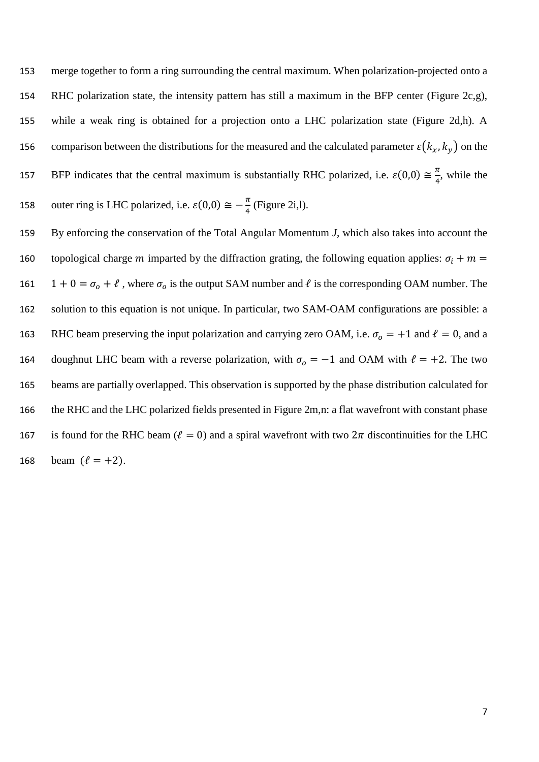153 merge together to form a ring surrounding the central maximum. When polarization-projected onto a 154 RHC polarization state, the intensity pattern has still a maximum in the BFP center (Figure 2c,g), 155 while a weak ring is obtained for a projection onto a LHC polarization state (Figure 2d,h). A 156 comparison between the distributions for the measured and the calculated parameter  $\varepsilon$ ( $k_x$ ,  $k_y$ ) on the 157 BFP indicates that the central maximum is substantially RHC polarized, i.e.  $\varepsilon(0,0) \approx \frac{\pi}{4}$ , while the 158 outer ring is LHC polarized, i.e.  $\varepsilon(0,0) \approx -\frac{\pi}{4}$  (Figure 2i,l).

159 By enforcing the conservation of the Total Angular Momentum *J*, which also takes into account the 160 topological charge m imparted by the diffraction grating, the following equation applies:  $\sigma_i + m =$ 161 1 + 0 =  $\sigma_0$  +  $\ell$ , where  $\sigma_0$  is the output SAM number and  $\ell$  is the corresponding OAM number. The 162 solution to this equation is not unique. In particular, two SAM-OAM configurations are possible: a 163 RHC beam preserving the input polarization and carrying zero OAM, i.e.  $\sigma_0 = +1$  and  $\ell = 0$ , and a 164 doughnut LHC beam with a reverse polarization, with  $\sigma_0 = -1$  and OAM with  $\ell = +2$ . The two 165 beams are partially overlapped. This observation is supported by the phase distribution calculated for 166 the RHC and the LHC polarized fields presented in Figure 2m,n: a flat wavefront with constant phase 167 is found for the RHC beam ( $\ell = 0$ ) and a spiral wavefront with two  $2\pi$  discontinuities for the LHC 168 beam  $(\ell = +2)$ .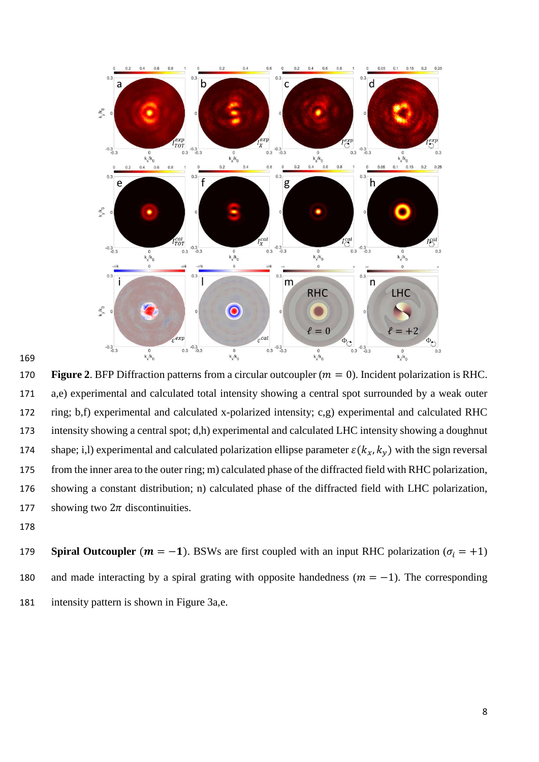



170 **Figure 2.** BFP Diffraction patterns from a circular outcoupler  $(m = 0)$ . Incident polarization is RHC. a,e) experimental and calculated total intensity showing a central spot surrounded by a weak outer ring; b,f) experimental and calculated x-polarized intensity; c,g) experimental and calculated RHC intensity showing a central spot; d,h) experimental and calculated LHC intensity showing a doughnut 174 shape; i,l) experimental and calculated polarization ellipse parameter  $\varepsilon$ ( $k_x$ ,  $k_y$ ) with the sign reversal from the inner area to the outer ring; m) calculated phase of the diffracted field with RHC polarization, showing a constant distribution; n) calculated phase of the diffracted field with LHC polarization, 177 showing two  $2\pi$  discontinuities.

179 **Spiral Outcoupler** ( $m = -1$ ). BSWs are first coupled with an input RHC polarization ( $\sigma_i = +1$ ) 180 and made interacting by a spiral grating with opposite handedness  $(m = -1)$ . The corresponding intensity pattern is shown in Figure 3a,e.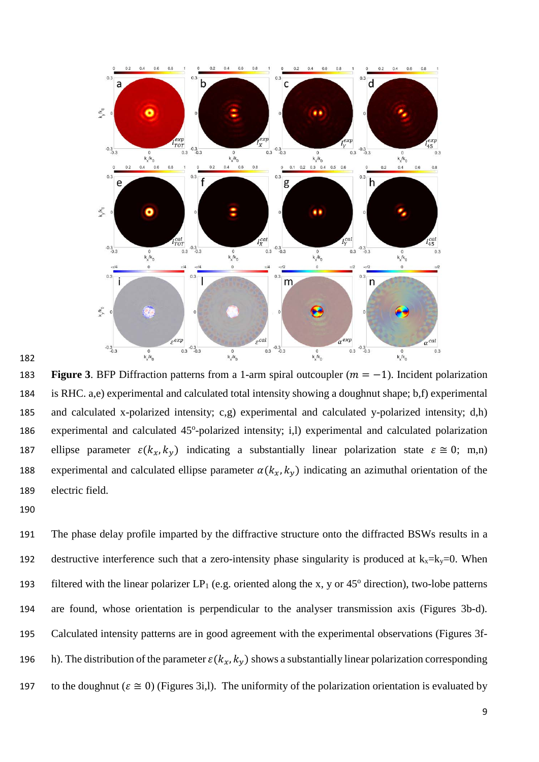



183 **Figure 3**. BFP Diffraction patterns from a 1-arm spiral outcoupler  $(m = -1)$ . Incident polarization 184 is RHC. a,e) experimental and calculated total intensity showing a doughnut shape; b,f) experimental 185 and calculated x-polarized intensity; c,g) experimental and calculated y-polarized intensity; d,h) 186 experimental and calculated  $45^{\circ}$ -polarized intensity; i,l) experimental and calculated polarization 187 ellipse parameter  $\varepsilon$ ( $k_x$ , $k_y$ ) indicating a substantially linear polarization state  $\varepsilon \approx 0$ ; m,n) 188 experimental and calculated ellipse parameter  $\alpha(k_x, k_y)$  indicating an azimuthal orientation of the 189 electric field.

191 The phase delay profile imparted by the diffractive structure onto the diffracted BSWs results in a 192 destructive interference such that a zero-intensity phase singularity is produced at  $k_x = k_y = 0$ . When filtered with the linear polarizer  $LP_1$  (e.g. oriented along the x, y or 45<sup>o</sup> direction), two-lobe patterns 194 are found, whose orientation is perpendicular to the analyser transmission axis (Figures 3b-d). 195 Calculated intensity patterns are in good agreement with the experimental observations (Figures 3f-196 h). The distribution of the parameter  $\varepsilon$ ( $k_x$ ,  $k_y$ ) shows a substantially linear polarization corresponding 197 to the doughnut ( $\varepsilon \approx 0$ ) (Figures 3i,l). The uniformity of the polarization orientation is evaluated by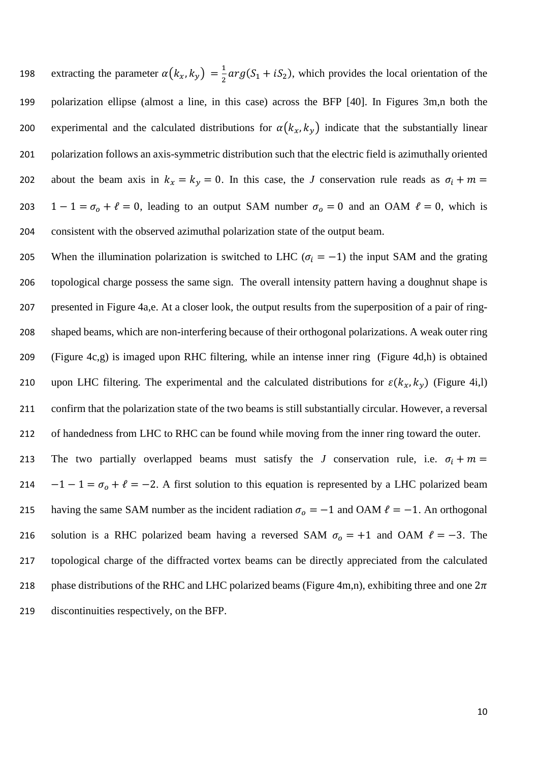198 extracting the parameter  $\alpha(k_x, k_y) = \frac{1}{2} \alpha r g (S_1 + i S_2)$ , which provides the local orientation of the 199 polarization ellipse (almost a line, in this case) across the BFP [40]. In Figures 3m,n both the 200 experimental and the calculated distributions for  $\alpha(k_x, k_y)$  indicate that the substantially linear 201 polarization follows an axis-symmetric distribution such that the electric field is azimuthally oriented 202 about the beam axis in  $k_x = k_y = 0$ . In this case, the *J* conservation rule reads as  $\sigma_i + m =$ 203 1 − 1 =  $\sigma_0$  +  $\ell$  = 0, leading to an output SAM number  $\sigma_0$  = 0 and an OAM  $\ell$  = 0, which is 204 consistent with the observed azimuthal polarization state of the output beam.

205 When the illumination polarization is switched to LHC ( $\sigma_i = -1$ ) the input SAM and the grating topological charge possess the same sign. The overall intensity pattern having a doughnut shape is presented in Figure 4a,e. At a closer look, the output results from the superposition of a pair of ring- shaped beams, which are non-interfering because of their orthogonal polarizations. A weak outer ring (Figure 4c,g) is imaged upon RHC filtering, while an intense inner ring (Figure 4d,h) is obtained 210 upon LHC filtering. The experimental and the calculated distributions for  $\varepsilon$ ( $k_x$ ,  $k_y$ ) (Figure 4i,l) confirm that the polarization state of the two beams is still substantially circular. However, a reversal 212 of handedness from LHC to RHC can be found while moving from the inner ring toward the outer.

213 The two partially overlapped beams must satisfy the *J* conservation rule, i.e.  $\sigma_i + m =$ 214  $-1-1 = \sigma_0 + \ell = -2$ . A first solution to this equation is represented by a LHC polarized beam 215 having the same SAM number as the incident radiation  $\sigma_0 = -1$  and OAM  $\ell = -1$ . An orthogonal 216 solution is a RHC polarized beam having a reversed SAM  $\sigma_0 = +1$  and OAM  $\ell = -3$ . The 217 topological charge of the diffracted vortex beams can be directly appreciated from the calculated 218 phase distributions of the RHC and LHC polarized beams (Figure 4m,n), exhibiting three and one  $2\pi$ 219 discontinuities respectively, on the BFP.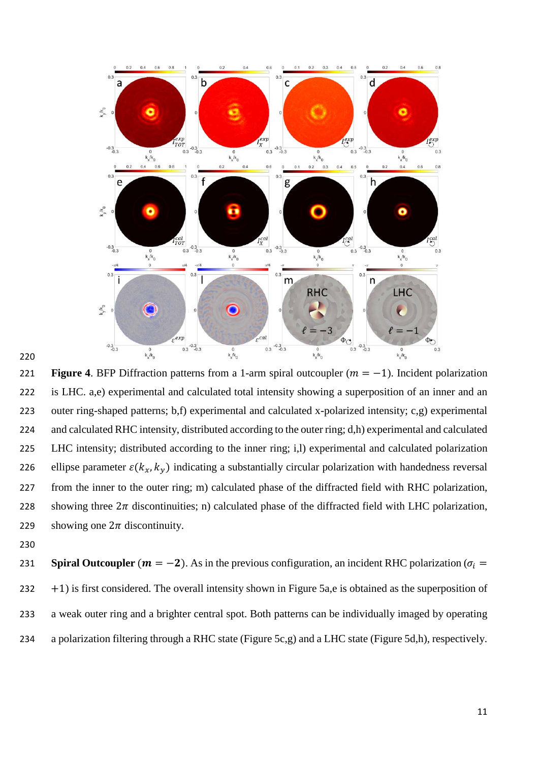

221 **Figure 4.** BFP Diffraction patterns from a 1-arm spiral outcoupler  $(m = -1)$ . Incident polarization is LHC. a,e) experimental and calculated total intensity showing a superposition of an inner and an outer ring-shaped patterns; b,f) experimental and calculated x-polarized intensity; c,g) experimental and calculated RHC intensity, distributed according to the outer ring; d,h) experimental and calculated LHC intensity; distributed according to the inner ring; i,l) experimental and calculated polarization 226 ellipse parameter  $\varepsilon$ ( $k_x$ ,  $k_y$ ) indicating a substantially circular polarization with handedness reversal from the inner to the outer ring; m) calculated phase of the diffracted field with RHC polarization, 228 showing three  $2\pi$  discontinuities; n) calculated phase of the diffracted field with LHC polarization, 229 showing one  $2\pi$  discontinuity.

**Spiral Outcoupler**  $(m = -2)$ . As in the previous configuration, an incident RHC polarization ( $\sigma_i$  +1) is first considered. The overall intensity shown in Figure 5a,e is obtained as the superposition of a weak outer ring and a brighter central spot. Both patterns can be individually imaged by operating a polarization filtering through a RHC state (Figure 5c,g) and a LHC state (Figure 5d,h), respectively.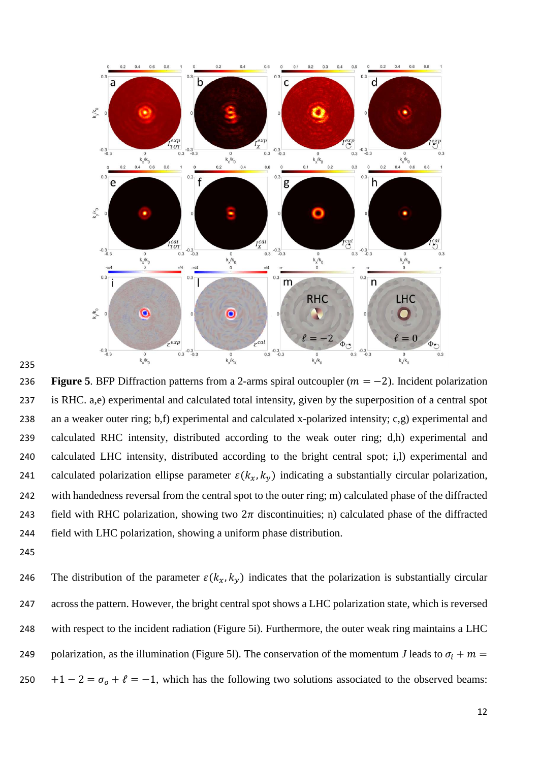

236 **Figure 5**. BFP Diffraction patterns from a 2-arms spiral outcoupler  $(m = -2)$ . Incident polarization is RHC. a,e) experimental and calculated total intensity, given by the superposition of a central spot an a weaker outer ring; b,f) experimental and calculated x-polarized intensity; c,g) experimental and calculated RHC intensity, distributed according to the weak outer ring; d,h) experimental and calculated LHC intensity, distributed according to the bright central spot; i,l) experimental and 241 calculated polarization ellipse parameter  $\varepsilon$ ( $k_x$ ,  $k_y$ ) indicating a substantially circular polarization, with handedness reversal from the central spot to the outer ring; m) calculated phase of the diffracted 243 field with RHC polarization, showing two  $2\pi$  discontinuities; n) calculated phase of the diffracted field with LHC polarization, showing a uniform phase distribution.

246 The distribution of the parameter  $\varepsilon$ ( $k_x$ ,  $k_y$ ) indicates that the polarization is substantially circular across the pattern. However, the bright central spot shows a LHC polarization state, which is reversed with respect to the incident radiation (Figure 5i). Furthermore, the outer weak ring maintains a LHC 249 polarization, as the illumination (Figure 51). The conservation of the momentum *J* leads to  $\sigma_i + m =$ 250 +1 − 2 =  $\sigma_0$  +  $\ell$  = −1, which has the following two solutions associated to the observed beams: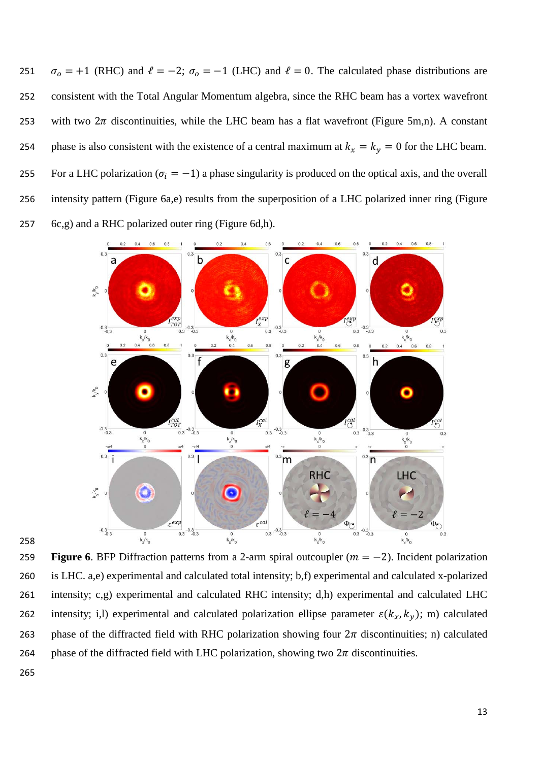251  $\sigma_0 = +1$  (RHC) and  $\ell = -2$ ;  $\sigma_0 = -1$  (LHC) and  $\ell = 0$ . The calculated phase distributions are 252 consistent with the Total Angular Momentum algebra, since the RHC beam has a vortex wavefront 253 with two  $2\pi$  discontinuities, while the LHC beam has a flat wavefront (Figure 5m,n). A constant 254 phase is also consistent with the existence of a central maximum at  $k_x = k_y = 0$  for the LHC beam. 255 For a LHC polarization ( $\sigma_i = -1$ ) a phase singularity is produced on the optical axis, and the overall 256 intensity pattern (Figure 6a,e) results from the superposition of a LHC polarized inner ring (Figure 257 6c,g) and a RHC polarized outer ring (Figure 6d,h).



258

**259 Figure 6.** BFP Diffraction patterns from a 2-arm spiral outcoupler  $(m = -2)$ . Incident polarization 260 is LHC. a,e) experimental and calculated total intensity; b,f) experimental and calculated x-polarized 261 intensity; c,g) experimental and calculated RHC intensity; d,h) experimental and calculated LHC 262 intensity; i,l) experimental and calculated polarization ellipse parameter  $\varepsilon$ ( $k_x$ ,  $k_y$ ); m) calculated 263 phase of the diffracted field with RHC polarization showing four  $2\pi$  discontinuities; n) calculated 264 phase of the diffracted field with LHC polarization, showing two  $2\pi$  discontinuities.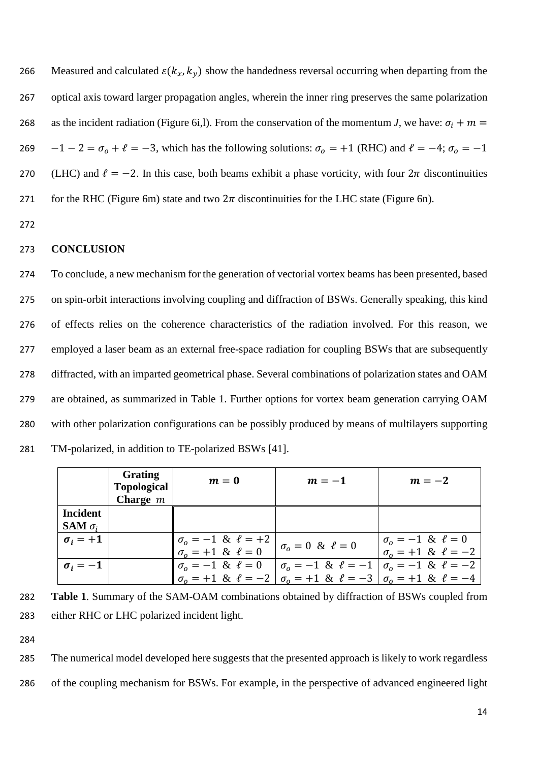266 Measured and calculated  $\varepsilon$ ( $k_x$ ,  $k_y$ ) show the handedness reversal occurring when departing from the 267 optical axis toward larger propagation angles, wherein the inner ring preserves the same polarization 268 as the incident radiation (Figure 6i,l). From the conservation of the momentum *J*, we have:  $\sigma_i + m =$ 269 −1 − 2 =  $\sigma_0$  +  $\ell$  = −3, which has the following solutions:  $\sigma_0$  = +1 (RHC) and  $\ell$  = −4;  $\sigma_0$  = −1 270 (LHC) and  $\ell = -2$ . In this case, both beams exhibit a phase vorticity, with four  $2\pi$  discontinuities 271 for the RHC (Figure 6m) state and two  $2\pi$  discontinuities for the LHC state (Figure 6n).

272

#### 273 **CONCLUSION**

 To conclude, a new mechanism for the generation of vectorial vortex beams has been presented, based on spin-orbit interactions involving coupling and diffraction of BSWs. Generally speaking, this kind of effects relies on the coherence characteristics of the radiation involved. For this reason, we employed a laser beam as an external free-space radiation for coupling BSWs that are subsequently diffracted, with an imparted geometrical phase. Several combinations of polarization states and OAM are obtained, as summarized in Table 1. Further options for vortex beam generation carrying OAM with other polarization configurations can be possibly produced by means of multilayers supporting TM-polarized, in addition to TE-polarized BSWs [41].

|                                          | <b>Grating</b><br><b>Topological</b><br>Charge $m$ | $m=0$                                                                                           | $m=-1$                                                       | $m=-2$                                                                                       |
|------------------------------------------|----------------------------------------------------|-------------------------------------------------------------------------------------------------|--------------------------------------------------------------|----------------------------------------------------------------------------------------------|
| <b>Incident</b><br><b>SAM</b> $\sigma_i$ |                                                    |                                                                                                 |                                                              |                                                                                              |
| $\sigma_i = +1$                          |                                                    | $\begin{vmatrix} \sigma_0 = -1 & \& \ \ell = +2 \\ \sigma_0 = +1 & \& \ \ell = 0 \end{vmatrix}$ | $\sigma_0 = 0 \& \ell = 0$                                   | $\sigma_o = -1 \& \ell = 0$<br>$\sigma_0 = +1 \& \ell = -2$                                  |
| $\sigma_i = -1$                          |                                                    | $\sigma_0 = -1 \& \ell = 0$                                                                     | $\sigma_0 = -1 \& \ell = -1 \mid \sigma_0 = -1 \& \ell = -2$ | $\sigma_0 = +1 \& \ell = -2 \mid \sigma_0 = +1 \& \ell = -3 \mid \sigma_0 = +1 \& \ell = -4$ |

282 **Table 1**. Summary of the SAM-OAM combinations obtained by diffraction of BSWs coupled from 283 either RHC or LHC polarized incident light.

284

285 The numerical model developed here suggests that the presented approach is likely to work regardless 286 of the coupling mechanism for BSWs. For example, in the perspective of advanced engineered light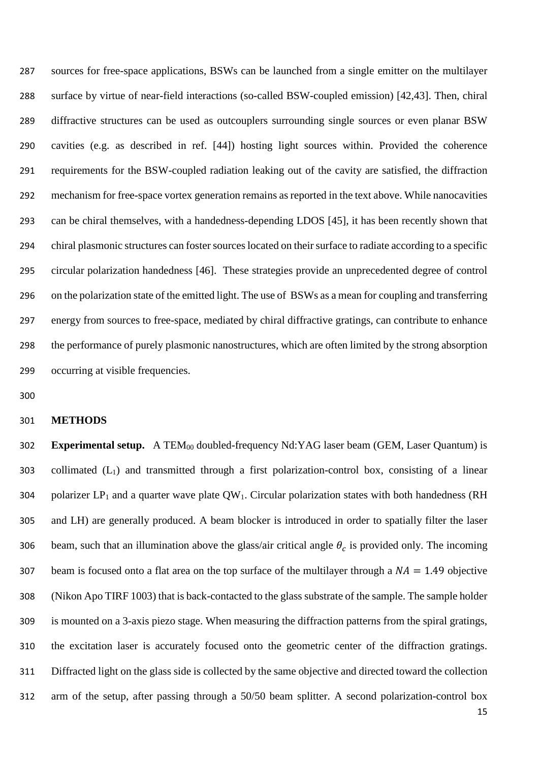sources for free-space applications, BSWs can be launched from a single emitter on the multilayer surface by virtue of near-field interactions (so-called BSW-coupled emission) [42,43]. Then, chiral diffractive structures can be used as outcouplers surrounding single sources or even planar BSW cavities (e.g. as described in ref. [44]) hosting light sources within. Provided the coherence requirements for the BSW-coupled radiation leaking out of the cavity are satisfied, the diffraction mechanism for free-space vortex generation remains as reported in the text above. While nanocavities can be chiral themselves, with a handedness-depending LDOS [45], it has been recently shown that chiral plasmonic structures can foster sources located on their surface to radiate according to a specific circular polarization handedness [46]. These strategies provide an unprecedented degree of control on the polarization state of the emitted light. The use of BSWs as a mean for coupling and transferring energy from sources to free-space, mediated by chiral diffractive gratings, can contribute to enhance the performance of purely plasmonic nanostructures, which are often limited by the strong absorption occurring at visible frequencies.

#### **METHODS**

**Experimental setup.** A TEM<sub>00</sub> doubled-frequency Nd:YAG laser beam (GEM, Laser Quantum) is collimated (L1) and transmitted through a first polarization-control box, consisting of a linear 304 polarizer  $LP_1$  and a quarter wave plate  $QW_1$ . Circular polarization states with both handedness (RH and LH) are generally produced. A beam blocker is introduced in order to spatially filter the laser 306 beam, such that an illumination above the glass/air critical angle  $\theta_c$  is provided only. The incoming 307 beam is focused onto a flat area on the top surface of the multilayer through a  $NA = 1.49$  objective (Nikon Apo TIRF 1003) that is back-contacted to the glass substrate of the sample. The sample holder is mounted on a 3-axis piezo stage. When measuring the diffraction patterns from the spiral gratings, the excitation laser is accurately focused onto the geometric center of the diffraction gratings. Diffracted light on the glass side is collected by the same objective and directed toward the collection arm of the setup, after passing through a 50/50 beam splitter. A second polarization-control box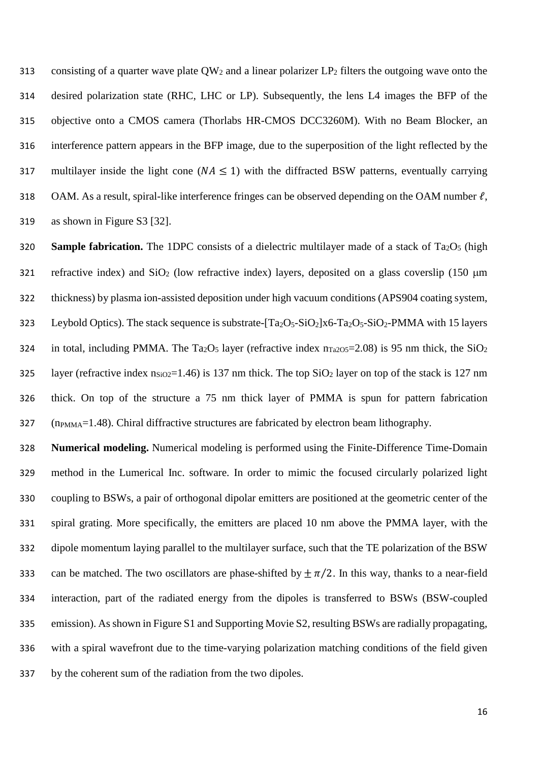313 consisting of a quarter wave plate  $OW_2$  and a linear polarizer  $LP_2$  filters the outgoing wave onto the desired polarization state (RHC, LHC or LP). Subsequently, the lens L4 images the BFP of the objective onto a CMOS camera (Thorlabs HR-CMOS DCC3260M). With no Beam Blocker, an interference pattern appears in the BFP image, due to the superposition of the light reflected by the 317 multilayer inside the light cone ( $NA \le 1$ ) with the diffracted BSW patterns, eventually carrying 318 OAM. As a result, spiral-like interference fringes can be observed depending on the OAM number  $\ell$ , as shown in Figure S3 [32].

320 **Sample fabrication.** The 1DPC consists of a dielectric multilayer made of a stack of Ta<sub>2</sub>O<sub>5</sub> (high 321 refractive index) and  $SiO<sub>2</sub>$  (low refractive index) layers, deposited on a glass coverslip (150  $\mu$ m thickness) by plasma ion-assisted deposition under high vacuum conditions (APS904 coating system, 323 Leybold Optics). The stack sequence is substrate- $[Ta_2O_5-SiO_2]x6-Ta_2O_5-SiO_2-PMMA$  with 15 layers 324 in total, including PMMA. The Ta<sub>2</sub>O<sub>5</sub> layer (refractive index  $n_{Ta2O5}=2.08$ ) is 95 nm thick, the SiO<sub>2</sub> 325 layer (refractive index  $n_{SiO2}=1.46$ ) is 137 nm thick. The top  $SiO<sub>2</sub>$  layer on top of the stack is 127 nm thick. On top of the structure a 75 nm thick layer of PMMA is spun for pattern fabrication (n<sub>PMMA</sub>=1.48). Chiral diffractive structures are fabricated by electron beam lithography.

 **Numerical modeling.** Numerical modeling is performed using the Finite-Difference Time-Domain method in the Lumerical Inc. software. In order to mimic the focused circularly polarized light coupling to BSWs, a pair of orthogonal dipolar emitters are positioned at the geometric center of the spiral grating. More specifically, the emitters are placed 10 nm above the PMMA layer, with the dipole momentum laying parallel to the multilayer surface, such that the TE polarization of the BSW 333 can be matched. The two oscillators are phase-shifted by  $\pm \pi/2$ . In this way, thanks to a near-field interaction, part of the radiated energy from the dipoles is transferred to BSWs (BSW-coupled emission). As shown in Figure S1 and Supporting Movie S2, resulting BSWs are radially propagating, with a spiral wavefront due to the time-varying polarization matching conditions of the field given by the coherent sum of the radiation from the two dipoles.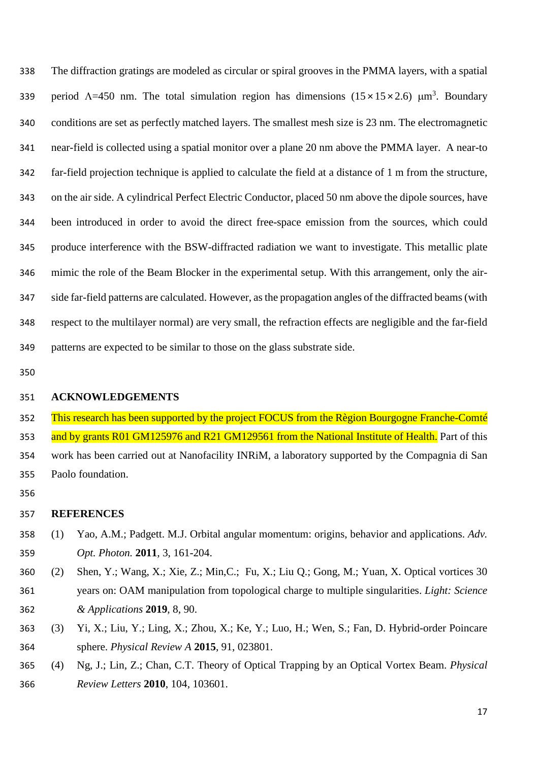The diffraction gratings are modeled as circular or spiral grooves in the PMMA layers, with a spatial 339 period  $\Lambda$ =450 nm. The total simulation region has dimensions (15×15×2.6)  $\mu$ m<sup>3</sup>. Boundary conditions are set as perfectly matched layers. The smallest mesh size is 23 nm. The electromagnetic near-field is collected using a spatial monitor over a plane 20 nm above the PMMA layer. A near-to far-field projection technique is applied to calculate the field at a distance of 1 m from the structure, on the air side. A cylindrical Perfect Electric Conductor, placed 50 nm above the dipole sources, have been introduced in order to avoid the direct free-space emission from the sources, which could produce interference with the BSW-diffracted radiation we want to investigate. This metallic plate mimic the role of the Beam Blocker in the experimental setup. With this arrangement, only the air- side far-field patterns are calculated. However, as the propagation angles of the diffracted beams (with respect to the multilayer normal) are very small, the refraction effects are negligible and the far-field patterns are expected to be similar to those on the glass substrate side.

#### **ACKNOWLEDGEMENTS**

 This research has been supported by the project FOCUS from the Règion Bourgogne Franche-Comté 353 and by grants R01 GM125976 and R21 GM129561 from the National Institute of Health. Part of this work has been carried out at Nanofacility INRiM, a laboratory supported by the Compagnia di San Paolo foundation.

#### **REFERENCES**

- (1) Yao, A.M.; Padgett. M.J. Orbital angular momentum: origins, behavior and applications. *Adv. Opt. Photon.* **2011**, 3, 161-204.
- (2) Shen, Y.; Wang, X.; Xie, Z.; Min,C.; Fu, X.; Liu Q.; Gong, M.; Yuan, X. Optical vortices 30 years on: OAM manipulation from topological charge to multiple singularities. *Light: Science & Applications* **2019**, 8, 90.
- (3) Yi, X.; Liu, Y.; Ling, X.; Zhou, X.; Ke, Y.; Luo, H.; Wen, S.; Fan, D. Hybrid-order Poincare sphere. *Physical Review A* **2015**, 91, 023801.
- (4) Ng, J.; Lin, Z.; Chan, C.T. Theory of Optical Trapping by an Optical Vortex Beam. *Physical Review Letters* **2010**, 104, 103601.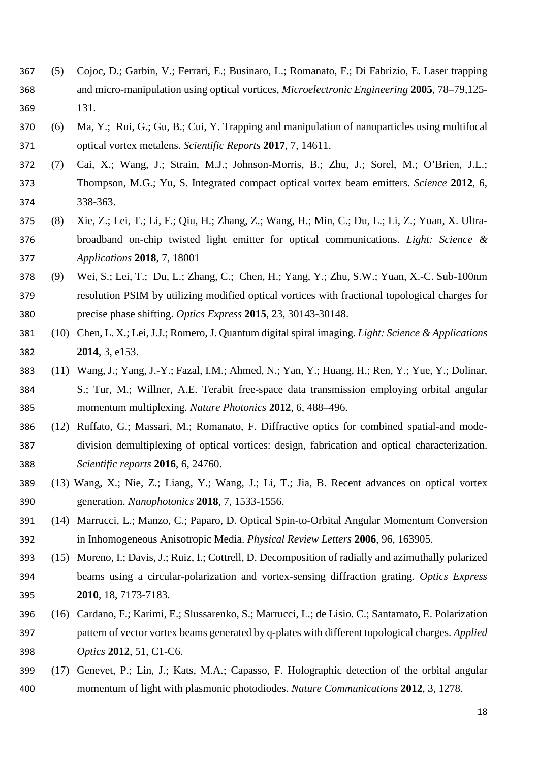- (5) Cojoc, D.; Garbin, V.; Ferrari, E.; Businaro, L.; Romanato, F.; Di Fabrizio, E. Laser trapping and micro-manipulation using optical vortices, *Microelectronic Engineering* **2005**, 78–79,125- 131.
- (6) Ma, Y.; Rui, G.; Gu, B.; Cui, Y. Trapping and manipulation of nanoparticles using multifocal optical vortex metalens. *Scientific Reports* **2017**, 7, 14611.
- (7) Cai, X.; Wang, J.; Strain, M.J.; Johnson-Morris, B.; Zhu, J.; Sorel, M.; O'Brien, J.L.; Thompson, M.G.; Yu, S. Integrated compact optical vortex beam emitters. *Science* **2012**, 6, 338-363.
- (8) Xie, Z.; Lei, T.; Li, F.; Qiu, H.; Zhang, Z.; Wang, H.; Min, C.; Du, L.; Li, Z.; Yuan, X. Ultra- broadband on-chip twisted light emitter for optical communications. *Light: Science & Applications* **2018**, 7, 18001
- (9) Wei, S.; Lei, T.; Du, L.; Zhang, C.; Chen, H.; Yang, Y.; Zhu, S.W.; Yuan, X.-C. Sub-100nm resolution PSIM by utilizing modified optical vortices with fractional topological charges for precise phase shifting. *Optics Express* **2015**, 23, 30143-30148.
- (10) Chen, L. X.; Lei, J.J.; Romero, J. Quantum digital spiral imaging. *Light: Science & Applications* **2014**, 3, e153.
- (11) Wang, J.; Yang, J.-Y.; Fazal, I.M.; Ahmed, N.; Yan, Y.; Huang, H.; Ren, Y.; Yue, Y.; Dolinar, S.; Tur, M.; Willner, A.E. Terabit free-space data transmission employing orbital angular momentum multiplexing. *Nature Photonics* **2012**, 6, 488–496.
- (12) Ruffato, G.; Massari, M.; Romanato, F. Diffractive optics for combined spatial-and mode- division demultiplexing of optical vortices: design, fabrication and optical characterization. *Scientific reports* **2016**, 6, 24760.
- (13) Wang, X.; Nie, Z.; Liang, Y.; Wang, J.; Li, T.; Jia, B. Recent advances on optical vortex generation. *Nanophotonics* **2018**, 7, 1533-1556.
- (14) Marrucci, L.; Manzo, C.; Paparo, D. Optical Spin-to-Orbital Angular Momentum Conversion in Inhomogeneous Anisotropic Media. *Physical Review Letters* **2006**, 96, 163905.
- (15) Moreno, I.; Davis, J.; Ruiz, I.; Cottrell, D. Decomposition of radially and azimuthally polarized beams using a circular-polarization and vortex-sensing diffraction grating. *Optics Express* **2010**, 18, 7173-7183.
- (16) Cardano, F.; Karimi, E.; Slussarenko, S.; Marrucci, L.; de Lisio. C.; Santamato, E. Polarization pattern of vector vortex beams generated by q-plates with different topological charges. *Applied Optics* **2012**, 51, C1-C6.
- (17) Genevet, P.; Lin, J.; Kats, M.A.; Capasso, F. Holographic detection of the orbital angular momentum of light with plasmonic photodiodes. *Nature Communications* **2012**, 3, 1278.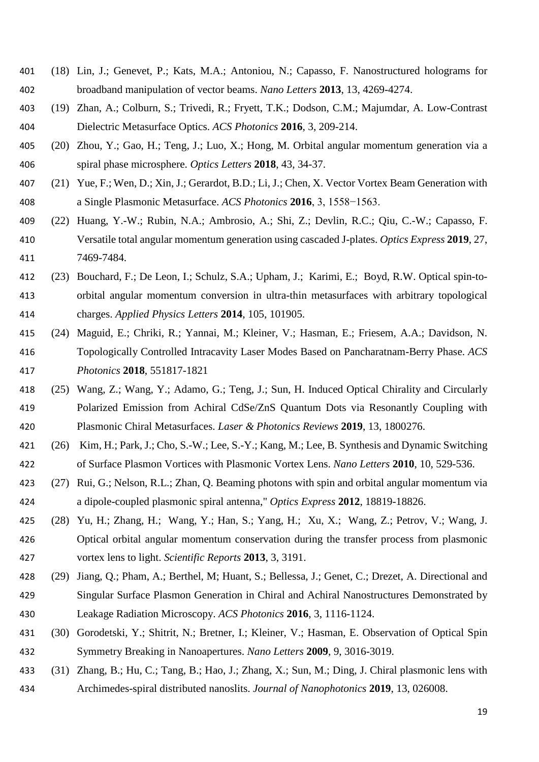- (18) Lin, J.; Genevet, P.; Kats, M.A.; Antoniou, N.; Capasso, F. Nanostructured holograms for broadband manipulation of vector beams. *Nano Letters* **2013**, 13, 4269-4274.
- (19) Zhan, A.; Colburn, S.; Trivedi, R.; Fryett, T.K.; Dodson, C.M.; Majumdar, A. Low-Contrast Dielectric Metasurface Optics. *ACS Photonics* **2016**, 3, 209-214.
- (20) Zhou, Y.; Gao, H.; Teng, J.; Luo, X.; Hong, M. Orbital angular momentum generation via a spiral phase microsphere. *Optics Letters* **2018**, 43, 34-37.
- (21) Yue, F.; Wen, D.; Xin, J.; Gerardot, B.D.; Li, J.; Chen, X. Vector Vortex Beam Generation with a Single Plasmonic Metasurface. *ACS Photonics* **2016**, 3, 1558−1563.
- (22) Huang, Y.-W.; Rubin, N.A.; Ambrosio, A.; Shi, Z.; Devlin, R.C.; Qiu, C.-W.; Capasso, F. Versatile total angular momentum generation using cascaded J-plates. *Optics Express* **2019**, 27, 7469-7484.
- (23) Bouchard, F.; De Leon, I.; Schulz, S.A.; Upham, J.; Karimi, E.; Boyd, R.W. Optical spin-to- orbital angular momentum conversion in ultra-thin metasurfaces with arbitrary topological charges. *Applied Physics Letters* **2014**, 105, 101905.
- (24) Maguid, E.; Chriki, R.; Yannai, M.; Kleiner, V.; Hasman, E.; Friesem, A.A.; Davidson, N. Topologically Controlled Intracavity Laser Modes Based on Pancharatnam-Berry Phase. *ACS Photonics* **2018**, 551817-1821
- (25) Wang, Z.; Wang, Y.; Adamo, G.; Teng, J.; Sun, H. Induced Optical Chirality and Circularly Polarized Emission from Achiral CdSe/ZnS Quantum Dots via Resonantly Coupling with Plasmonic Chiral Metasurfaces. *Laser & Photonics Reviews* **2019**, 13, 1800276.
- (26) Kim, H.; Park, J.; Cho, S.-W.; Lee, S.-Y.; Kang, M.; Lee, B. Synthesis and Dynamic Switching of Surface Plasmon Vortices with Plasmonic Vortex Lens. *Nano Letters* **2010**, 10, 529-536.
- (27) Rui, G.; Nelson, R.L.; Zhan, Q. Beaming photons with spin and orbital angular momentum via a dipole-coupled plasmonic spiral antenna," *Optics Express* **2012**, 18819-18826.
- (28) Yu, H.; Zhang, H.; Wang, Y.; Han, S.; Yang, H.; Xu, X.; Wang, Z.; Petrov, V.; Wang, J. Optical orbital angular momentum conservation during the transfer process from plasmonic vortex lens to light. *Scientific Reports* **2013**, 3, 3191.
- (29) Jiang, Q.; Pham, A.; Berthel, M; Huant, S.; Bellessa, J.; Genet, C.; Drezet, A. Directional and Singular Surface Plasmon Generation in Chiral and Achiral Nanostructures Demonstrated by Leakage Radiation Microscopy. *ACS Photonics* **2016**, 3, 1116-1124.
- (30) Gorodetski, Y.; Shitrit, N.; Bretner, I.; Kleiner, V.; Hasman, E. Observation of Optical Spin Symmetry Breaking in Nanoapertures. *Nano Letters* **2009**, 9, 3016-3019.
- (31) Zhang, B.; Hu, C.; Tang, B.; Hao, J.; Zhang, X.; Sun, M.; Ding, J. Chiral plasmonic lens with Archimedes-spiral distributed nanoslits. *Journal of Nanophotonics* **2019**, 13, 026008.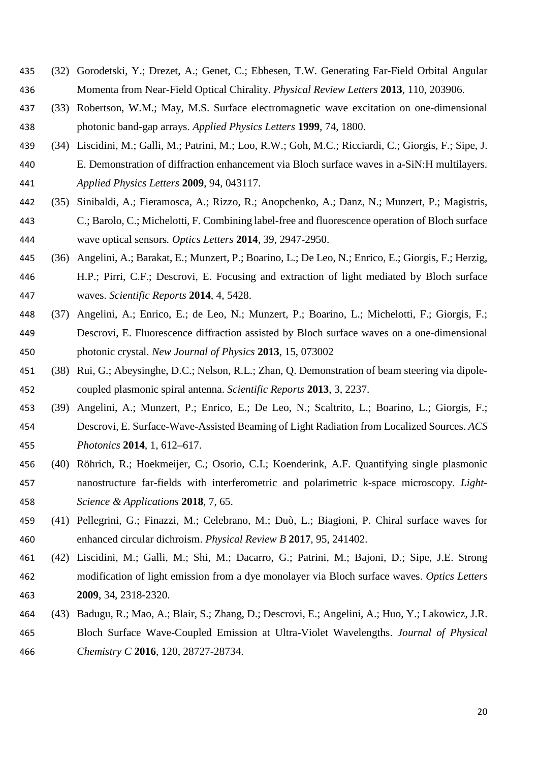- (32) Gorodetski, Y.; Drezet, A.; Genet, C.; Ebbesen, T.W. Generating Far-Field Orbital Angular Momenta from Near-Field Optical Chirality. *Physical Review Letters* **2013**, 110, 203906.
- (33) Robertson, W.M.; May, M.S. Surface electromagnetic wave excitation on one-dimensional photonic band-gap arrays. *Applied Physics Letters* **1999**, 74, 1800.
- (34) Liscidini, M.; Galli, M.; Patrini, M.; Loo, R.W.; Goh, M.C.; Ricciardi, C.; Giorgis, F.; Sipe, J. E. Demonstration of diffraction enhancement via Bloch surface waves in a-SiN:H multilayers. *Applied Physics Letters* **2009**, 94, 043117.
- (35) Sinibaldi, A.; Fieramosca, A.; Rizzo, R.; Anopchenko, A.; Danz, N.; Munzert, P.; Magistris, C.; Barolo, C.; Michelotti, F. Combining label-free and fluorescence operation of Bloch surface wave optical sensors*. Optics Letters* **2014**, 39, 2947-2950.
- (36) Angelini, A.; Barakat, E.; Munzert, P.; Boarino, L.; De Leo, N.; Enrico, E.; Giorgis, F.; Herzig, H.P.; Pirri, C.F.; Descrovi, E. Focusing and extraction of light mediated by Bloch surface waves. *Scientific Reports* **2014**, 4, 5428.
- (37) Angelini, A.; Enrico, E.; de Leo, N.; Munzert, P.; Boarino, L.; Michelotti, F.; Giorgis, F.; Descrovi, E. Fluorescence diffraction assisted by Bloch surface waves on a one-dimensional photonic crystal. *New Journal of Physics* **2013**, 15, 073002
- (38) Rui, G.; Abeysinghe, D.C.; Nelson, R.L.; Zhan, Q. Demonstration of beam steering via dipole-coupled plasmonic spiral antenna. *Scientific Reports* **2013**, 3, 2237.
- (39) Angelini, A.; Munzert, P.; Enrico, E.; De Leo, N.; Scaltrito, L.; Boarino, L.; Giorgis, F.; Descrovi, E. Surface-Wave-Assisted Beaming of Light Radiation from Localized Sources. *ACS Photonics* **2014**, 1, 612–617.
- (40) Röhrich, R.; Hoekmeijer, C.; Osorio, C.I.; Koenderink, A.F. Quantifying single plasmonic nanostructure far-fields with interferometric and polarimetric k-space microscopy. *Light-Science & Applications* **2018**, 7, 65.
- (41) Pellegrini, G.; Finazzi, M.; Celebrano, M.; Duò, L.; Biagioni, P. Chiral surface waves for enhanced circular dichroism. *Physical Review B* **2017**, 95, 241402.
- (42) Liscidini, M.; Galli, M.; Shi, M.; Dacarro, G.; Patrini, M.; Bajoni, D.; Sipe, J.E. Strong modification of light emission from a dye monolayer via Bloch surface waves. *Optics Letters* **2009**, 34, 2318-2320.
- (43) Badugu, R.; Mao, A.; Blair, S.; Zhang, D.; Descrovi, E.; Angelini, A.; Huo, Y.; Lakowicz, J.R. Bloch Surface Wave-Coupled Emission at Ultra-Violet Wavelengths. *Journal of Physical Chemistry C* **2016**, 120, 28727-28734.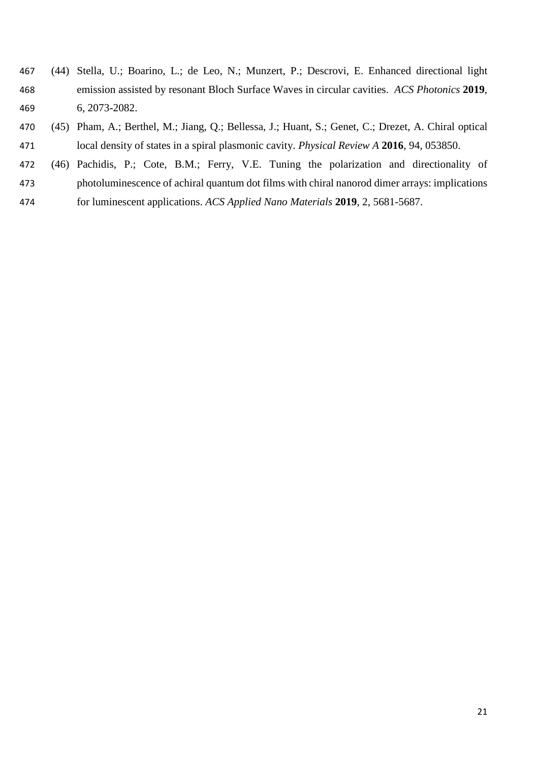- (44) Stella, U.; Boarino, L.; de Leo, N.; Munzert, P.; Descrovi, E. Enhanced directional light emission assisted by resonant Bloch Surface Waves in circular cavities. *ACS Photonics* **2019**, 6, 2073-2082.
- (45) Pham, A.; Berthel, M.; Jiang, Q.; Bellessa, J.; Huant, S.; Genet, C.; Drezet, A. Chiral optical local density of states in a spiral plasmonic cavity. *Physical Review A* **2016**, 94, 053850.
- (46) Pachidis, P.; Cote, B.M.; Ferry, V.E. Tuning the polarization and directionality of
- photoluminescence of achiral quantum dot films with chiral nanorod dimer arrays: implications
- for luminescent applications. *ACS Applied Nano Materials* **2019**, 2, 5681-5687.